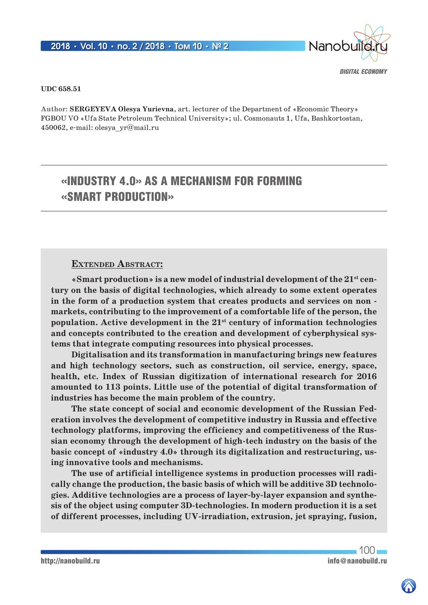

### *Digital Economy*

### **UDC 658.51**

**Author: SERGEYEVA Olesya Yurievna**, art. lecturer of the Department of «Economic Theory» FGBOU VO «Ufa State Petroleum Technical University»; ul. Cosmonauts 1, Ufa, Bashkortostan, 450062, e-mail: olesya\_yr@mail.ru

# «INDUSTRY 4.0» AS A MECHANISM FOR FORMING «SMART PRODUCTION»

### **Extended Abstract:**

**«Smart production» is a new model of industrial development of the 21st century on the basis of digital technologies, which already to some extent operates in the form of a production system that creates products and services on non markets, contributing to the improvement of a comfortable life of the person, the population. Active development in the 21st century of information technologies and concepts contributed to the creation and development of cyberphysical systems that integrate computing resources into physical processes.**

**Digitalisation and its transformation in manufacturing brings new features and high technology sectors, such as construction, oil service, energy, space, health, etc. Index of Russian digitization of international research for 2016 amounted to 113 points. Little use of the potential of digital transformation of industries has become the main problem of the country.**

**The state concept of social and economic development of the Russian Federation involves the development of competitive industry in Russia and effective technology platforms, improving the efficiency and competitiveness of the Russian economy through the development of high-tech industry on the basis of the basic concept of «industry 4.0» through its digitalization and restructuring, using innovative tools and mechanisms.**

**The use of artificial intelligence systems in production processes will radically change the production, the basic basis of which will be additive 3D technologies. Additive technologies are a process of layer-by-layer expansion and synthesis of the object using computer 3D-technologies. In modern production it is a set of different processes, including UV-irradiation, extrusion, jet spraying, fusion,** 

 $100 -$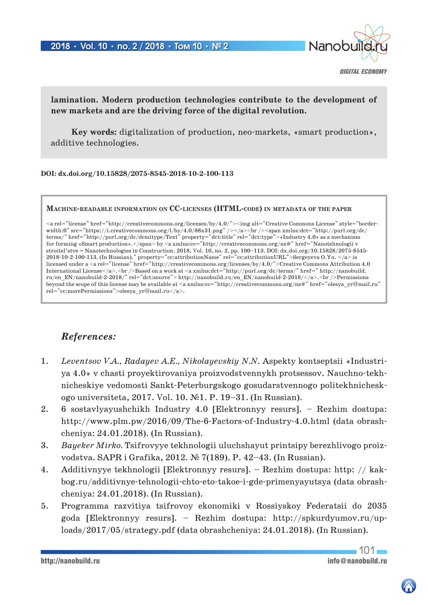

*Digital Economy*

## **lamination. Modern production technologies contribute to the development of new markets and are the driving force of the digital revolution.**

**Key words:** digitalization of production, neo-markets, «smart production», additive technologies.

### **DOI: dx.doi.org/10.15828/2075-8545-2018-10-2-100-113**

### **Machine-readable information on CC-licenses (HTML-code) in metadata of the paper**

<a rel="license" href="http://creativecommons.org/licenses/by/4.0/"><img alt="Creative Commons License" style="borderwidth:0" src="https://i.creativecommons.org/l/by/4.0/88x31.png" /></a><br />>/>><span xmlns:dct="http://purl.org/dc/ terms/" href="http://purl.org/dc/dcmitype/Text" property="dct:title" rel="dct:type">«Industry 4.0» as a mechanism for forming «Smart production». </span> by <a xmlns:cc="http://creativecommons.org/ns#" href="Nanotehnologii v stroitel'stve = Nanotechnologies in Construction. 2018, Vol. 10, no. 2, pp. 100–113. DOI: dx.doi.org/10.15828/2075-8545- 2018-10-2-100-113. (In Russian)." property="cc:attributionName" rel="cc:attributionURL">Sergeyeva O.Yu. </a> is licensed under a <a rel="license" href="http://creativecommons.org/licenses/by/4.0/">Creative Commons Attribution 4.0 International License</a>.<br />br />Based on a work at <a xmlns:dct="http://purl.org/dc/terms/" href=" http://nanobuild. ru/en\_EN/nanobuild-2-2018/" rel="dct:source"> http://nanobuild.ru/en\_EN/nanobuild-2-2018/</a>.<br />Permissions beyond the scope of this license may be available at <a xmlns:cc="http://creativecommons.org/ns#" href="olesya\_yr@mail.ru" rel="cc:morePermissions">olesya\_yr@mail.ru</a>.

# *References:*

- 1. *Leventsov V.A., Radayev A.E., Nikolayevskiy N.N.* Aspekty kontseptsii «Industriya 4.0» v chasti proyektirovaniya proizvodstvennykh protsessov. Nauchno-tekhnicheskiye vedomosti Sankt-Peterburgskogo gosudarstvennogo politekhnicheskogo universiteta, 2017. Vol. 10. №1. P. 19–31. (In Russian).
- 2. 6 sostavlyayushchikh Industry 4.0 [Elektronnyy resurs]. Rezhim dostupa: http://www.plm.pw/2016/09/The-6-Factors-of-Industry-4.0.html (data obrashcheniya: 24.01.2018). (In Russian).
- 3. *Bayeker Mirko.* Tsifrovyye tekhnologii uluchshayut printsipy berezhlivogo proizvodstva. SAPR i Grafika, 2012. № 7(189). P. 42–43. (In Russian).
- 4. Additivnyye tekhnologii [Elektronnyy resurs]. Rezhim dostupa: http: // kakbog.ru/additivnye-tehnologii-chto-eto-takoe-i-gde-primenyayutsya (data obrashcheniya: 24.01.2018). (In Russian).
- 5. Programma razvitiya tsifrovoy ekonomiki v Rossiyskoy Federatsii do 2035 goda [Elektronnyy resurs]. – Rezhim dostupa: http://spkurdyumov.ru/uploads/2017/05/strategy.pdf (data obrashcheniya: 24.01.2018). (In Russian).

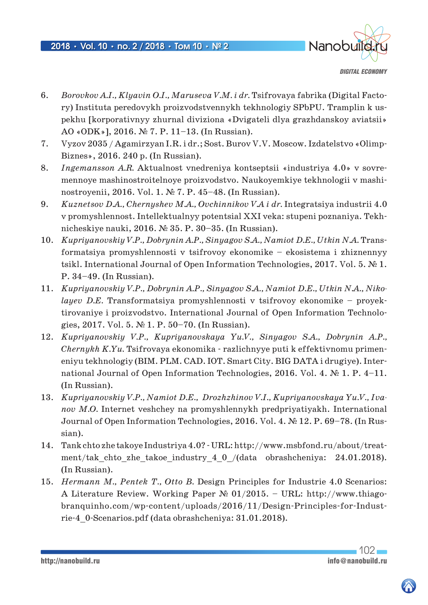

*Digital Economy*

- 6. *Borovkov A.I., Klyavin O.I., Maruseva V.M. i dr.* Tsifrovaya fabrika (Digital Factory) Instituta peredovykh proizvodstvennykh tekhnologiy SPbPU. Tramplin k uspekhu [korporativnyy zhurnal diviziona «Dvigateli dlya grazhdanskoy aviatsii» AO «ODK»], 2016. № 7. P. 11–13. (In Russian).
- 7. Vyzov 2035 / Agamirzyan I.R. i dr.; Sost. Burov V.V. Moscow. Izdatelstvo «Olimp-Biznes», 2016. 240 p. (In Russian).
- 8. *Ingemansson A.R.* Aktualnost vnedreniya kontseptsii «industriya 4.0» v sovremennoye mashinostroitelnoye proizvodstvo. Naukoyemkiye tekhnologii v mashinostroyenii, 2016. Vol. 1. № 7. P. 45–48. (In Russian).
- 9. *Kuznetsov D.A., Chernyshev M.A., Ovchinnikov V.A i dr.* Integratsiya industrii 4.0 v promyshlennost. Intellektualnyy potentsial XXI veka: stupeni poznaniya. Tekhnicheskiye nauki, 2016. № 35. P. 30–35. (In Russian).
- 10. *Kupriyanovskiy V.P., Dobrynin A.P., Sinyagov S.A., Namiot D.E., Utkin N.A.* Transformatsiya promyshlennosti v tsifrovoy ekonomike – ekosistema i zhiznennyy tsikl. International Journal of Open Information Technologies, 2017. Vol. 5. № 1. P. 34–49. (In Russian).
- 11. *Kupriyanovskiy V.P., Dobrynin A.P., Sinyagov S.A., Namiot D.E., Utkin N.A., Nikolayev D.E.* Transformatsiya promyshlennosti v tsifrovoy ekonomike – proyektirovaniye i proizvodstvo. International Journal of Open Information Technologies, 2017. Vol. 5. № 1. P. 50–70. (In Russian).
- 12. *Kupriyanovskiy V.P., Kupriyanovskaya Yu.V., Sinyagov S.A., Dobrynin A.P., Chernykh K.Yu.* Tsifrovaya ekonomika - razlichnyye puti k effektivnomu primeneniyu tekhnologiy (BIM. PLM. CAD. IOT. Smart City. BIG DATA i drugiye). International Journal of Open Information Technologies, 2016. Vol. 4. № 1. P. 4–11. (In Russian).
- 13. *Kupriyanovskiy V.P., Namiot D.E., Drozhzhinov V.I., Kupriyanovskaya Yu.V., Ivanov M.O.* Internet veshchey na promyshlennykh predpriyatiyakh. International Journal of Open Information Technologies, 2016. Vol. 4. № 12. P. 69–78. (In Russian).
- 14. Tank chto zhe takoye Industriya 4.0? URL: http://www.msbfond.ru/about/treatment/tak\_chto\_zhe\_takoe\_industry\_4\_0\_/(data obrashcheniya: 24.01.2018). (In Russian).
- 15. *Hermann M., Pentek T., Otto B.* Design Principles for Industrie 4.0 Scenarios: A Literature Review. Working Paper № 01/2015. – URL: http://www.thiagobranquinho.com/wp-content/uploads/2016/11/Design-Principles-for-Industrie-4\_0-Scenarios.pdf (data obrashcheniya: 31.01.2018).



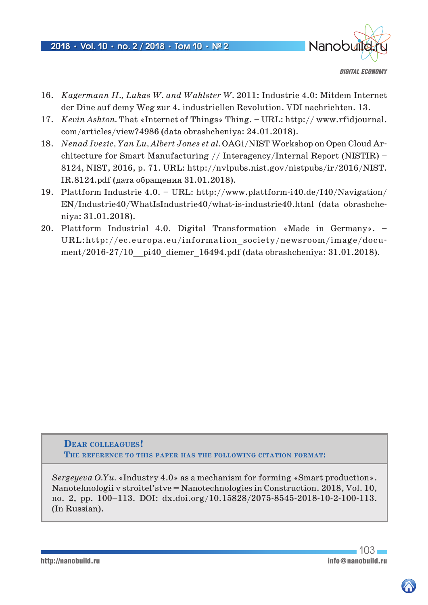

*Digital Economy*

- 16. *Kagermann H., Lukas W. and Wahlster W.* 2011: Industrie 4.0: Mitdem Internet der Dine auf demy Weg zur 4. industriellen Revolution. VDI nachrichten. 13.
- 17. *Kevin Ashton.* That «Internet of Things» Thing. URL: http:// www.rfidjournal. com/articles/view?4986 (data obrashcheniya: 24.01.2018).
- 18. *Nenad Ivezic, Yan Lu, Albert Jones et al.* OAGi/NIST Workshop on Open Cloud Architecture for Smart Manufacturing // Interagency/Internal Report (NISTIR) – 8124, NIST, 2016, p. 71. URL: http://nvlpubs.nist.gov/nistpubs/ir/2016/NIST. IR.8124.pdf (дата обращения 31.01.2018).
- 19. Plattform Industrie 4.0. URL: http://www.plattform-i40.de/I40/Navigation/ EN/Industrie40/WhatIsIndustrie40/what-is-industrie40.html (data obrashcheniya: 31.01.2018).
- 20. Plattform Industrial 4.0. Digital Transformation «Made in Germany». URL:http://ec.europa.eu/information\_society/newsroom/image/document/2016-27/10 pi40 diemer 16494.pdf (data obrashcheniya: 31.01.2018).

**Dear colleagues! The reference to this paper has the following citation format:**

*Sergeyeva O.Yu.* «Industry 4.0» as a mechanism for forming «Smart production». Nanotehnologii v stroitel'stve = Nanotechnologies in Construction. 2018, Vol. 10, no. 2, pp. 100–113. DOI: dx.doi.org/10.15828/2075-8545-2018-10-2-100-113. (In Russian).

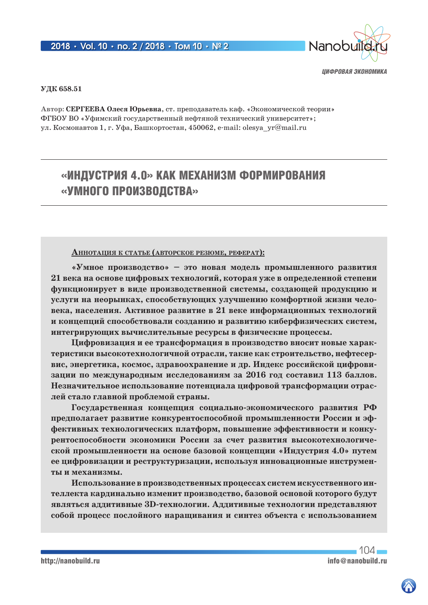

### **УДК 658.51**

**Автор: СЕРГЕЕВА Олеся Юрьевна**, ст. преподаватель каф. «Экономической теории» ФГБОУ ВО «Уфимский государственный нефтяной технический университет»; ул. Космонавтов 1, г. Уфа, Башкортостан, 450062, e-mail: olesya yr@mail.ru

# «ИНДУСТРИЯ 4.0» КАК МЕХАНИЗМ ФОРМИРОВАНИЯ «УМНОГО ПРОИЗВОДСТВА»

### **АннотАция <sup>к</sup> стАтье (Авторское резюме, реферАт):**

**«Умное производство» – это новая модель промышленного развития 21 века на основе цифровых технологий, которая уже в определенной степени функционирует в виде производственной системы, создающей продукцию и услуги на неорынках, способствующих улучшению комфортной жизни человека, населения. Активное развитие в 21 веке информационных технологий и концепций способствовали созданию и развитию киберфизических систем, интегрирующих вычислительные ресурсы в физические процессы.**

**Цифровизация и ее трансформация в производство вносит новые характеристики высокотехнологичной отрасли, такие как строительство, нефтесервис, энергетика, космос, здравоохранение и др. Индекс российской цифровизации по международным исследованиям за 2016 год составил 113 баллов. Незначительное использование потенциала цифровой трансформации отраслей стало главной проблемой страны.**

**Государственная концепция социально-экономического развития РФ предполагает развитие конкурентоспособной промышленности России и эффективных технологических платформ, повышение эффективности и конкурентоспособности экономики России за счет развития высокотехнологической промышленности на основе базовой концепции «Индустрия 4.0» путем ее цифровизации и реструктуризации, используя инновационные инструменты и механизмы.**

**Использование в производственных процессах систем искусственного интеллекта кардинально изменит производство, базовой основой которого будут являться аддитивные 3D-технологии. Аддитивные технологии представляют собой процесс послойного наращивания и синтез объекта с использованием** 

 $104<sub>1</sub>$ http://nanobuild.ru info@nanobuild.ru info@nanobuild.ru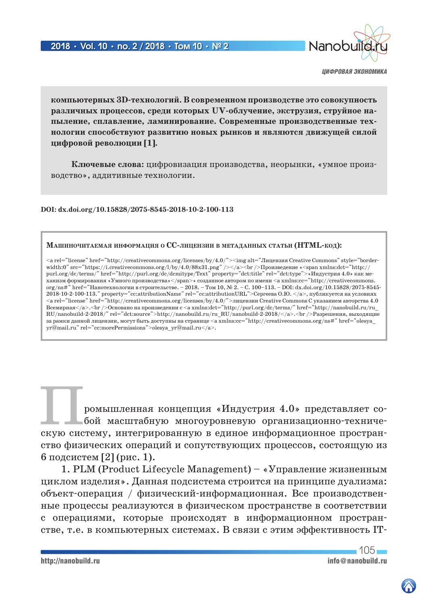

**компьютерных 3D-технологий. В современном производстве это совокупность различных процессов, среди которых UV-облучение, экструзия, струйное напыление, сплавление, ламинирование. Современные производственные технологии способствуют развитию новых рынков и являются движущей силой цифровой революции [1].**

**Ключевые слова:** цифровизация производства, неорынки, «умное производство», аддитивные технологии.

**DOI: dx.doi.org/10.15828/2075-8545-2018-10-2-100-113**

#### **МАшиночитАемАя информАция о CC-лицензии в метАдАнных стАтьи (HTML-код):**

<a rel="license" href="http://creativecommons.org/licenses/by/4.0/"><img alt="Лицензия Creative Commons" style="borderwidth:0" src="https://i.creativecommons.org/l/by/4.0/88x31.png" /></a><br />Произведение «<span xmlns:dct="http:// purl.org/dc/terms/" href="http://purl.org/dc/dcmitype/Text" property="dct:title" rel="dct:type">«Индустрия 4.0» как механизм формирования «Умного производства»</span>» созданное автором по имени <a xmlns:cc="http://creativecommons. org/ns#" href="Нанотехнологии в строительстве. – 2018. – Том 10, № 2. – С. 100–113. – DOI: dx.doi.org/10.15828/2075-8545- 2018-10-2-100-113." property="cc:attributionName" rel="cc:attributionURL">Сергеева О.Ю. </a>, публикуется на условиях <a rel="license" href="http://creativecommons.org/licenses/by/4.0/">лицензии Creative Commons С указанием авторства 4.0 Всемирная</a>.<br />Основано на произведении с <a xmlns:dct="http://purl.org/dc/terms/" href="http://nanobuild.ru/ru\_ RU/nanobuild-2-2018/" rel="dct:source">http://nanobuild.ru/ru\_RU/nanobuild-2-2018/</a>.<br />br />Разрешения, выходящие за рамки данной лицензии, могут быть доступны на странице  $\langle a \rangle$  xmlns:cc="http://creativecommons.org/ns#" href="olesya yr@mail.ru" rel="cc:morePermissions">olesya\_yr@mail.ru</a>.

ромышленная концепция «Индустрия 4.0» представляет собой масштабную многоуровневую организационно-техническую систему, интегрированную в единое информационное пространство физических операций и сопутствующих процессов, состоящую из 6 подсистем [2] (рис. 1).

1. PLM (Product Lifecycle Management) – «Управление жизненным циклом изделия». Данная подсистема строится на принципе дуализма: объект-операция / физический-информационная. Все производственные процессы реализуются в физическом пространстве в соответствии с операциями, которые происходят в информационном пространстве, т.е. в компьютерных системах. В связи с этим эффективность IT-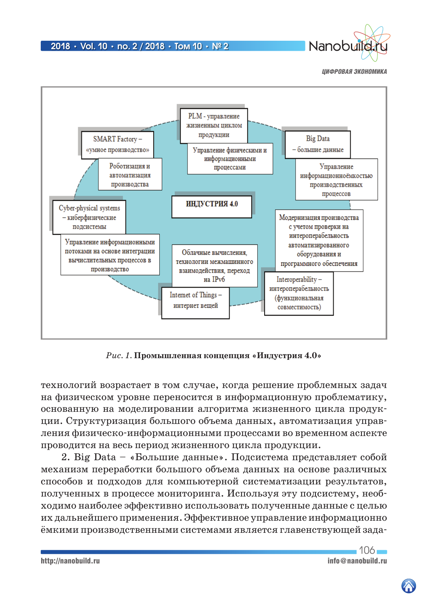

Nanobu



*Рис. 1.* **Промышленная концепция «Индустрия 4.0»**

технологий возрастает в том случае, когда решение проблемных задач на физическом уровне переносится в информационную проблематику, основанную на моделировании алгоритма жизненного цикла продукции. Структуризация большого объема данных, автоматизация управления физическо-информационными процессами во временном аспекте проводится на весь период жизненного цикла продукции.

2. Big Data – «Большие данные». Подсистема представляет собой механизм переработки большого объема данных на основе различных способов и подходов для компьютерной систематизации результатов, полученных в процессе мониторинга. Используя эту подсистему, необходимо наиболее эффективно использовать полученные данные с целью их дальнейшего применения. Эффективное управление информационно ёмкими производственными системами является главенствующей зада-

http://nanobuild.ru info@nanobuild.ru info@nanobuild.ru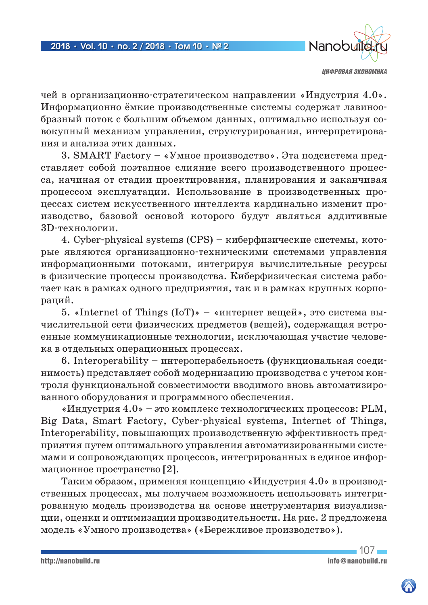

чей в организационно-стратегическом направлении «Индустрия 4.0». Информационно ёмкие производственные системы содержат лавинообразный поток с большим объемом данных, оптимально используя совокупный механизм управления, структурирования, интерпретирования и анализа этих данных.

3. SMART Factory – «Умное производство». Эта подсистема представляет собой поэтапное слияние всего производственного процесса, начиная от стадии проектирования, планирования и заканчивая процессом эксплуатации. Использование в производственных процессах систем искусственного интеллекта кардинально изменит производство, базовой основой которого будут являться аддитивные 3D-технологии.

4. Cyber-physical systems (CPS) – киберфизические системы, которые являются организационно-техническими системами управления информационными потоками, интегрируя вычислительные ресурсы в физические процессы производства. Киберфизическая система работает как в рамках одного предприятия, так и в рамках крупных корпораций.

5. «Internet of Things (IoT)» – «интернет вещей», это система вычислительной сети физических предметов (вещей), содержащая встроенные коммуникационные технологии, исключающая участие человека в отдельных операционных процессах.

6. Interoperability – интероперабельность (функциональная соединимость) представляет собой модернизацию производства с учетом контроля функциональной совместимости вводимого вновь автоматизированного оборудования и программного обеспечения.

«Индустрия  $4.0$ » – это комплекс технологических процессов: PLM, Big Data, Smart Factory, Cyber-physical systems, Internet of Things, Interoperability, повышающих производственную эффективность предприятия путем оптимального управления автоматизированными системами и сопровождающих процессов, интегрированных в единое информационное пространство [2].

Таким образом, применяя концепцию «Индустрия 4.0» в производственных процессах, мы получаем возможность использовать интегрированную модель производства на основе инструментария визуализации, оценки и оптимизации производительности. На рис. 2 предложена модель «Умного производства» («Бережливое производство»).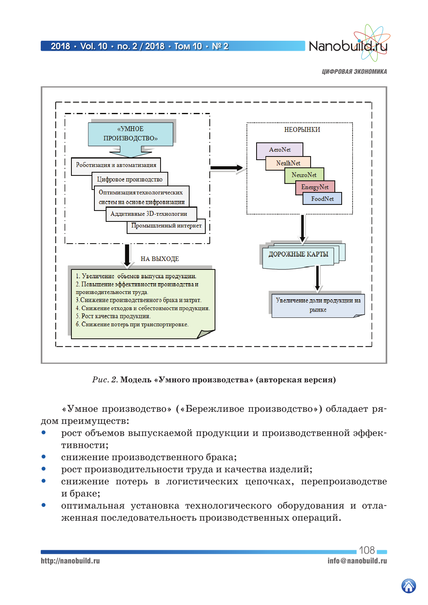

Nanobul

*ЦИФРОВАЯ ЭКОНОМИКА*



*Рис. 2.* **Модель «Умного производства» (авторская версия)**

«Умное производство» («Бережливое производство») обладает рядом преимуществ:

- рост объемов выпускаемой продукции и производственной эффективности;
- снижение производственного брака;
- рост производительности труда и качества изделий;
- снижение потерь в логистических цепочках, перепроизводстве и браке;
- оптимальная установка технологического оборудования и отлаженная последовательность производственных операций.

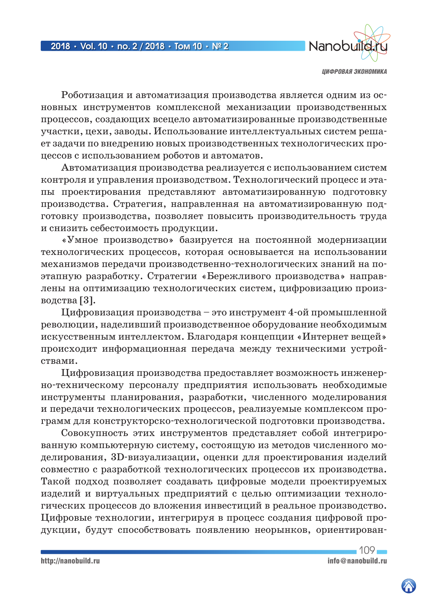

Роботизация и автоматизация производства является одним из основных инструментов комплексной механизации производственных процессов, создающих всецело автоматизированные производственные участки, цехи, заводы. Использование интеллектуальных систем решает задачи по внедрению новых производственных технологических процессов с использованием роботов и автоматов.

Автоматизация производства реализуется с использованием систем контроля и управления производством. Технологический процесс и этапы проектирования представляют автоматизированную подготовку производства. Стратегия, направленная на автоматизированную подготовку производства, позволяет повысить производительность труда и снизить себестоимость продукции.

«Умное производство» базируется на постоянной модернизации технологических процессов, которая основывается на использовании механизмов передачи производственно-технологических знаний на поэтапную разработку. Стратегии «Бережливого производства» направлены на оптимизацию технологических систем, цифровизацию производства [3].

Цифровизация производства – это инструмент 4-ой промышленной революции, наделивший производственное оборудование необходимым искусственным интеллектом. Благодаря концепции «Интернет вещей» происходит информационная передача между техническими устройствами.

Цифровизация производства предоставляет возможность инженерно-техническому персоналу предприятия использовать необходимые инструменты планирования, разработки, численного моделирования и передачи технологических процессов, реализуемые комплексом программ для конструкторско-технологической подготовки производства.

Совокупность этих инструментов представляет собой интегрированную компьютерную систему, состоящую из методов численного моделирования, 3D-визуализации, оценки для проектирования изделий совместно с разработкой технологических процессов их производства. Такой подход позволяет создавать цифровые модели проектируемых изделий и виртуальных предприятий с целью оптимизации технологических процессов до вложения инвестиций в реальное производство. Цифровые технологии, интегрируя в процесс создания цифровой продукции, будут способствовать появлению неорынков, ориентирован-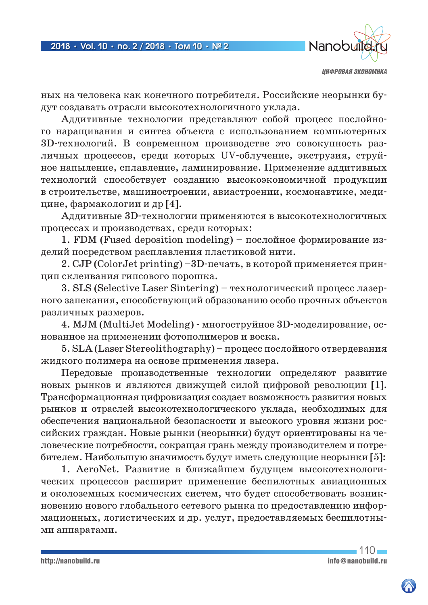

ных на человека как конечного потребителя. Российские неорынки будут создавать отрасли высокотехнологичного уклада.

Аддитивные технологии представляют собой процесс послойного наращивания и синтез объекта с использованием компьютерных 3D-технологий. В современном производстве это совокупность различных процессов, среди которых UV-облучение, экструзия, струйное напыление, сплавление, ламинирование. Применение аддитивных технологий способствует созданию высокоэкономичной продукции в строительстве, машиностроении, авиастроении, космонавтике, медицине, фармакологии и др [4].

Аддитивные 3D-технологии применяются в высокотехнологичных процессах и производствах, среди которых:

1. FDM (Fused deposition modeling) – послойное формирование изделий посредством расплавления пластиковой нити.

2. CJP (ColorJet printing) –3D-печать, в которой применяется принцип склеивания гипсового порошка.

3. SLS (Selective Laser Sintering) – технологический процесс лазерного запекания, способствующий образованию особо прочных объектов различных размеров.

4. MJM (MultiJet Modeling) - многоструйное 3D-моделирование, основанное на применении фотополимеров и воска.

5. SLA (Laser Stereolithography) – процесс послойного отвердевания жидкого полимера на основе применения лазера.

Передовые производственные технологии определяют развитие новых рынков и являются движущей силой цифровой революции [1]. Трансформационная цифровизация создает возможность развития новых рынков и отраслей высокотехнологического уклада, необходимых для обеспечения национальной безопасности и высокого уровня жизни российских граждан. Новые рынки (неорынки) будут ориентированы на человеческие потребности, сокращая грань между производителем и потребителем. Наибольшую значимость будут иметь следующие неорынки [5]:

1. AeroNet. Развитие в ближайшем будущем высокотехнологических процессов расширит применение беспилотных авиационных и околоземных космических систем, что будет способствовать возникновению нового глобального сетевого рынка по предоставлению информационных, логистических и др. услуг, предоставляемых беспилотными аппаратами.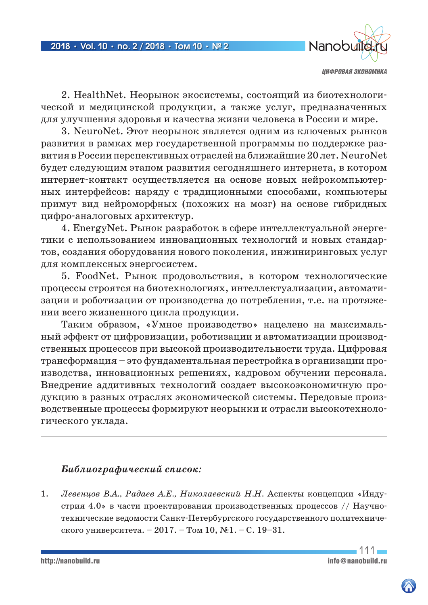

2. HealthNet. Неорынок экосистемы, состоящий из биотехнологической и медицинской продукции, а также услуг, предназначенных для улучшения здоровья и качества жизни человека в России и мире.

3. NeuroNet. Этот неорынок является одним из ключевых рынков развития в рамках мер государственной программы по поддержке развития в России перспективных отраслей на ближайшие 20 лет. NeuroNet будет следующим этапом развития сегодняшнего интернета, в котором интернет-контакт осуществляется на основе новых нейрокомпьютерных интерфейсов: наряду с традиционными способами, компьютеры примут вид нейроморфных (похожих на мозг) на основе гибридных цифро-аналоговых архитектур.

4. EnergyNet. Рынок разработок в сфере интеллектуальной энергетики с использованием инновационных технологий и новых стандартов, создания оборудования нового поколения, инжиниринговых услуг для комплексных энергосистем.

5. FoodNet. Рынок продовольствия, в котором технологические процессы строятся на биотехнологиях, интеллектуализации, автоматизации и роботизации от производства до потребления, т.е. на протяжении всего жизненного цикла продукции.

Таким образом, «Умное производство» нацелено на максимальный эффект от цифровизации, роботизации и автоматизации производственных процессов при высокой производительности труда. Цифровая трансформация – это фундаментальная перестройка в организации производства, инновационных решениях, кадровом обучении персонала. Внедрение аддитивных технологий создает высокоэкономичную продукцию в разных отраслях экономической системы. Передовые производственные процессы формируют неорынки и отрасли высокотехнологического уклада.

# *Библиографический список:*

1. *Левенцов В.А., Радаев А.Е., Николаевский Н.Н.* Аспекты концепции «Индустрия 4.0» в части проектирования производственных процессов // Научнотехнические ведомости Санкт-Петербургского государственного политехнического университета. – 2017. – Том 10,  $\mathcal{N}1.$  – С. 19–31.

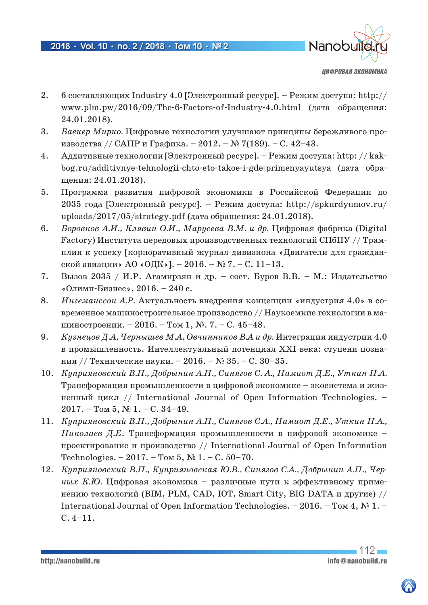

- 2. 6 составляющих Industry 4.0 [Электронный ресурс]. Режим доступа: http:// www.plm.pw/2016/09/The-6-Factors-of-Industry-4.0.html (дата обращения: 24.01.2018).
- 3. *Баекер Мирко.* Цифровые технологии улучшают принципы бережливого производства // САПР и Графика. – 2012. – № 7(189). – С. 42–43.
- 4. Аддитивные технологии [Электронный ресурс]. Режим доступа: http: // kakbog.ru/additivnye-tehnologii-chto-eto-takoe-i-gde-primenyayutsya (дата обращения: 24.01.2018).
- 5. Программа развития цифровой экономики в Российской Федерации до 2035 года [Электронный ресурс]. – Режим доступа: http://spkurdyumov.ru/ uploads/2017/05/strategy.pdf (дата обращения:  $24.01.2018$ ).
- 6. *Боровков А.И., Клявин О.И., Марусева В.М. и др.* Цифровая фабрика (Digital Factory) Института передовых производственных технологий СПбПУ // Трамплин к успеху [корпоративный журнал дивизиона «Двигатели для гражданской авиации» АО «ОДК»]. – 2016. – № 7. – С. 11–13.
- 7. Вызов 2035 / И.Р. Агамирзян и др. сост. Буров В.В. М.: Издательство «Олимп-Бизнес», 2016. – 240 с.
- 8. *Ингеманссон А.Р.* Актуальность внедрения концепции «индустрия 4.0» в современное машиностроительное производство // Наукоемкие технологии в машиностроении. – 2016. – Том 1, №. 7. – C. 45–48.
- 9. *Кузнецов Д.А, Чернышев М.А, Овчинников В.А и др.* Интеграция индустрии 4.0 в промышленность. Интеллектуальный потенциал XXI века: ступени познания // Технические науки. – 2016. – № 35. – С. 30–35.
- 10. *Куприяновский В.П., Добрынин А.П., Синягов С. А., Намиот Д.Е., Уткин Н.А.* Трансформация промышленности в цифровой экономике – экосистема и жизненный цикл // International Journal of Open Information Technologies. –  $2017. -$  Том 5, № 1. – С. 34–49.
- 11. *Куприяновский В.П., Добрынин А.П., Синягов С.А., Намиот Д.Е., Уткин Н.А., Николаев Д.Е*. Трансформация промышленности в цифровой экономике – проектирование и производство // International Journal of Open Information Technologies. – 2017. – Том 5,  $\mathcal{N}$  1. – С. 50–70.
- 12. *Куприяновский В.П., Куприяновская Ю.В., Синягов С.А., Добрынин А.П., Черных К.Ю.* Цифровая экономика – различные пути к эффективному применению технологий (BIM, PLM, CAD, IOT, Smart City, BIG DATA и другие) // International Journal of Open Information Technologies. – 2016. – Том 4,  $\mathcal{N}$  1. – С. 4–11.